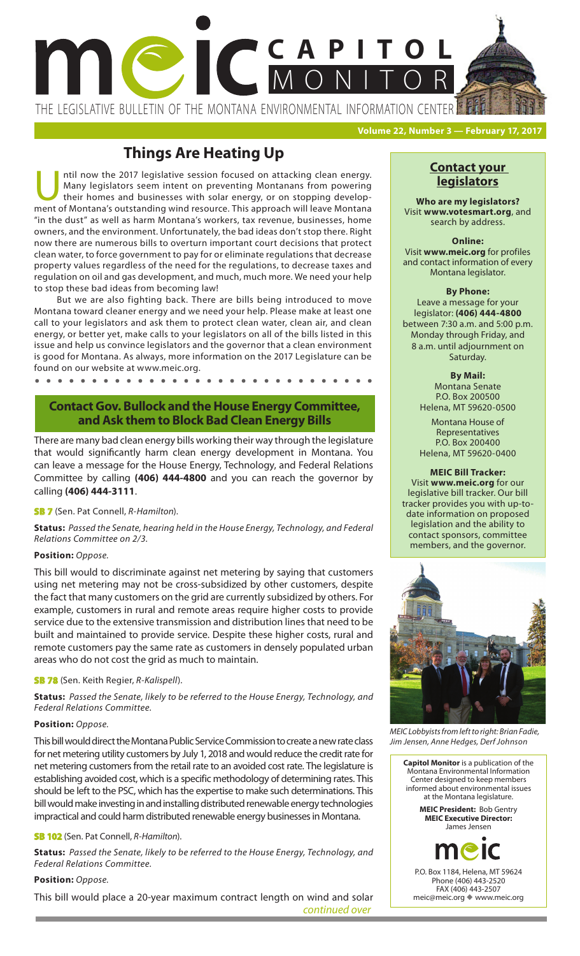

THE LEGISLATIVE BULLETIN OF THE MONTANA ENVIRONMENTAL INFORMATION CENTER

**Volume 22, Number 3 — February 17, 2017**

# **Things Are Heating Up**

Intil now the 2017 legislative session focused on attacking clean energy.<br>
Many legislators seem intent on preventing Montanans from powering<br>
their homes and businesses with solar energy, or on stopping develop-<br>
ment of Many legislators seem intent on preventing Montanans from powering their homes and businesses with solar energy, or on stopping development of Montana's outstanding wind resource. This approach will leave Montana "in the dust" as well as harm Montana's workers, tax revenue, businesses, home owners, and the environment. Unfortunately, the bad ideas don't stop there. Right now there are numerous bills to overturn important court decisions that protect clean water, to force government to pay for or eliminate regulations that decrease property values regardless of the need for the regulations, to decrease taxes and regulation on oil and gas development, and much, much more. We need your help to stop these bad ideas from becoming law!

But we are also fighting back. There are bills being introduced to move Montana toward cleaner energy and we need your help. Please make at least one call to your legislators and ask them to protect clean water, clean air, and clean energy, or better yet, make calls to your legislators on all of the bills listed in this issue and help us convince legislators and the governor that a clean environment is good for Montana. As always, more information on the 2017 Legislature can be found on our website at www.meic.org.

**. . . . . . . . . .**  $\bullet$ 

# **Contact Gov. Bullock and the House Energy Committee, and Ask them to Block Bad Clean Energy Bills**

There are many bad clean energy bills working their way through the legislature that would significantly harm clean energy development in Montana. You can leave a message for the House Energy, Technology, and Federal Relations Committee by calling **(406) 444-4800** and you can reach the governor by calling **(406) 444-3111**.

# **SB 7** (Sen. Pat Connell, *R-Hamilton*).

**Status:** *Passed the Senate, hearing held in the House Energy, Technology, and Federal Relations Committee on 2/3.*

# **Position:** *Oppose.*

This bill would to discriminate against net metering by saying that customers using net metering may not be cross-subsidized by other customers, despite the fact that many customers on the grid are currently subsidized by others. For example, customers in rural and remote areas require higher costs to provide service due to the extensive transmission and distribution lines that need to be built and maintained to provide service. Despite these higher costs, rural and remote customers pay the same rate as customers in densely populated urban areas who do not cost the grid as much to maintain.

# **SB 78** (Sen. Keith Regier, *R-Kalispell*).

**Status:** *Passed the Senate, likely to be referred to the House Energy, Technology, and Federal Relations Committee.*

# **Position:** *Oppose.*

This bill would direct the Montana Public Service Commission to create a new rate class for net metering utility customers by July 1, 2018 and would reduce the credit rate for net metering customers from the retail rate to an avoided cost rate. The legislature is establishing avoided cost, which is a specific methodology of determining rates. This should be left to the PSC, which has the expertise to make such determinations. This bill would make investing in and installing distributed renewable energy technologies impractical and could harm distributed renewable energy businesses in Montana.

# **SB 102** (Sen. Pat Connell, *R-Hamilton*).

**Status:** *Passed the Senate, likely to be referred to the House Energy, Technology, and Federal Relations Committee.*

# **Position:** *Oppose.*

*continued over* This bill would place a 20-year maximum contract length on wind and solar

# **Contact your legislators**

**Who are my legislators?**  Visit **www.votesmart.org**, and search by address.

**Online:** Visit **www.meic.org** for profiles and contact information of every Montana legislator.

#### **By Phone:**

Leave a message for your legislator: **(406) 444-4800** between 7:30 a.m. and 5:00 p.m. Monday through Friday, and 8 a.m. until adjournment on Saturday.

# **By Mail:**

Montana Senate P.O. Box 200500 Helena, MT 59620-0500

Montana House of Representatives P.O. Box 200400 Helena, MT 59620-0400

#### **MEIC Bill Tracker:**

date information on proposed Visit **www.meic.org** for our legislative bill tracker. Our bill tracker provides you with up-tolegislation and the ability to contact sponsors, committee members, and the governor.



*MEIC Lobbyists from left to right: Brian Fadie, Jim Jensen, Anne Hedges, Derf Johnson*

**Capitol Monitor** is a publication of the Montana Environmental Information Center designed to keep members informed about environmental issues at the Montana legislature. **MEIC President:** Bob Gentry

**MEIC Executive Director:**  James Jensen



P.O. Box 1184, Helena, MT 59624 Phone (406) 443-2520 FAX (406) 443-2507 meic@meic.org vww.meic.org